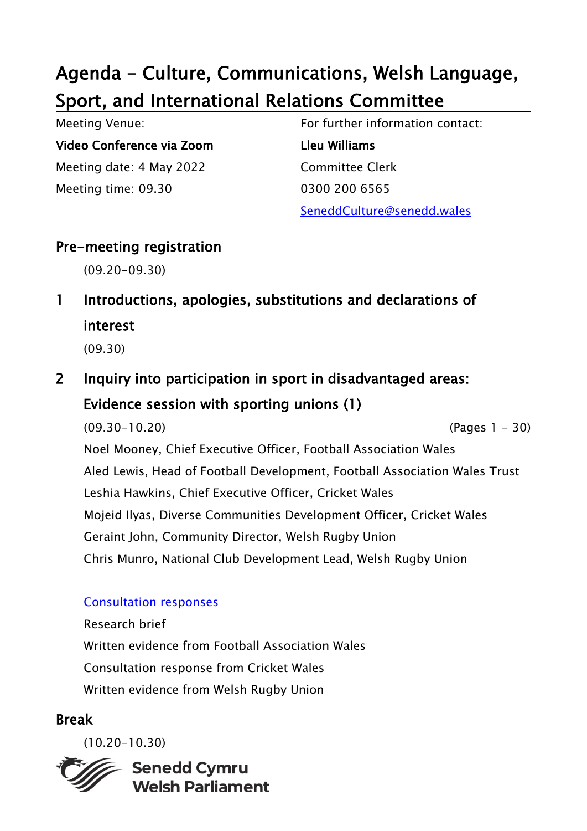# Agenda - Culture, Communications, Welsh Language, Sport, and International Relations Committee

| Meeting Venue:            | For further information contact: |
|---------------------------|----------------------------------|
| Video Conference via Zoom | Lleu Williams                    |
| Meeting date: 4 May 2022  | <b>Committee Clerk</b>           |
| Meeting time: 09.30       | 0300 200 6565                    |
|                           | SeneddCulture@senedd.wales       |

#### Pre-meeting registration

(09.20-09.30)

1 Introductions, apologies, substitutions and declarations of interest

(09.30)

2 Inquiry into participation in sport in disadvantaged areas: Evidence session with sporting unions (1)

(09.30-10.20) (Pages 1 - 30) Noel Mooney, Chief Executive Officer, Football Association Wales Aled Lewis, Head of Football Development, Football Association Wales Trust Leshia Hawkins, Chief Executive Officer, Cricket Wales Mojeid Ilyas, Diverse Communities Development Officer, Cricket Wales Geraint John, Community Director, Welsh Rugby Union Chris Munro, National Club Development Lead, Welsh Rugby Union

#### [Consultation responses](https://business.senedd.wales/mgConsultationDisplay.aspx?id=449&RPID=1531809128&cp=yes)

Research brief Written evidence from Football Association Wales Consultation response from Cricket Wales Written evidence from Welsh Rugby Union

#### Break

(10.20-10.30)

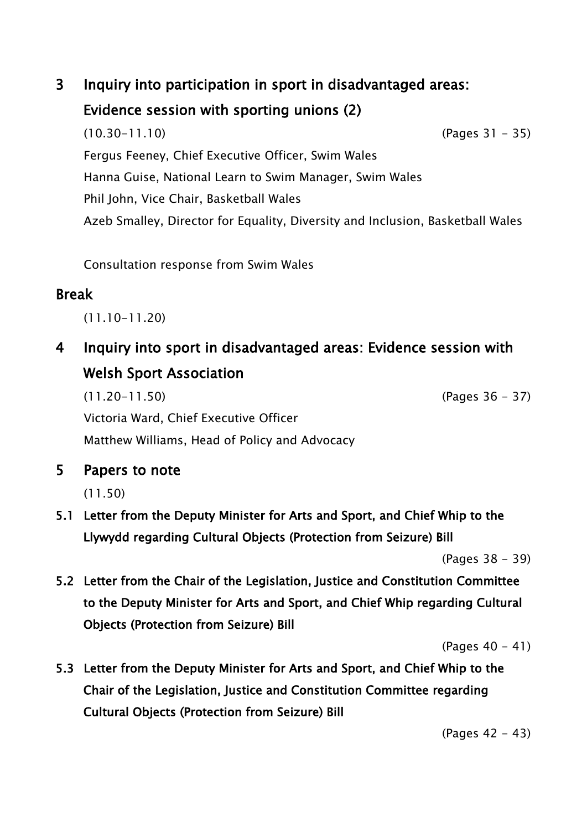## 3 Inquiry into participation in sport in disadvantaged areas: Evidence session with sporting unions (2)

(10.30-11.10) (Pages 31 - 35) Fergus Feeney, Chief Executive Officer, Swim Wales Hanna Guise, National Learn to Swim Manager, Swim Wales Phil John, Vice Chair, Basketball Wales Azeb Smalley, Director for Equality, Diversity and Inclusion, Basketball Wales

Consultation response from Swim Wales

### Break

(11.10-11.20)

4 Inquiry into sport in disadvantaged areas: Evidence session with Welsh Sport Association

(11.20-11.50) (Pages 36 - 37) Victoria Ward, Chief Executive Officer Matthew Williams, Head of Policy and Advocacy

5 Papers to note

(11.50)

5.1 Letter from the Deputy Minister for Arts and Sport, and Chief Whip to the Llywydd regarding Cultural Objects (Protection from Seizure) Bill

(Pages 38 - 39)

5.2 Letter from the Chair of the Legislation, Justice and Constitution Committee to the Deputy Minister for Arts and Sport, and Chief Whip regarding Cultural Objects (Protection from Seizure) Bill

(Pages 40 - 41)

5.3 Letter from the Deputy Minister for Arts and Sport, and Chief Whip to the Chair of the Legislation, Justice and Constitution Committee regarding Cultural Objects (Protection from Seizure) Bill

(Pages 42 - 43)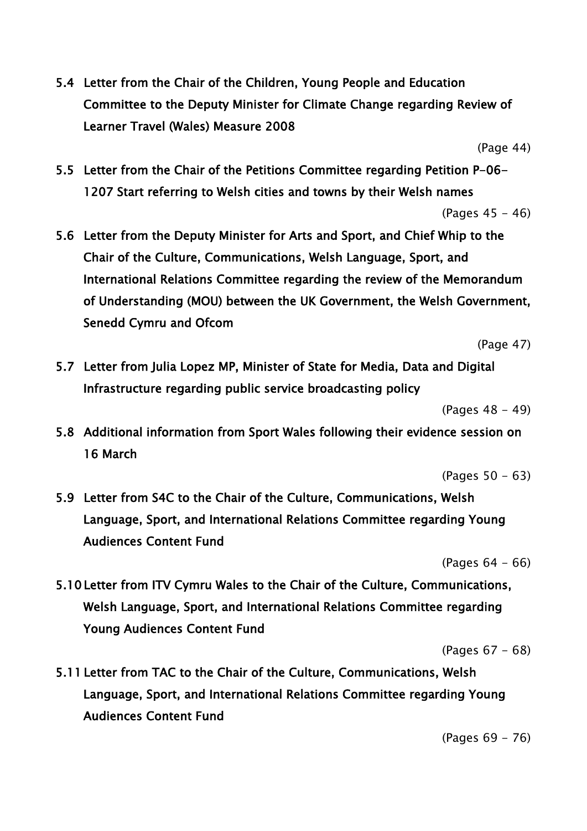5.4 Letter from the Chair of the Children, Young People and Education Committee to the Deputy Minister for Climate Change regarding Review of Learner Travel (Wales) Measure 2008

(Page 44)

5.5 Letter from the Chair of the Petitions Committee regarding Petition P-06- 1207 Start referring to Welsh cities and towns by their Welsh names

(Pages 45 - 46)

5.6 Letter from the Deputy Minister for Arts and Sport, and Chief Whip to the Chair of the Culture, Communications, Welsh Language, Sport, and International Relations Committee regarding the review of the Memorandum of Understanding (MOU) between the UK Government, the Welsh Government, Senedd Cymru and Ofcom

(Page 47)

5.7 Letter from Julia Lopez MP, Minister of State for Media, Data and Digital Infrastructure regarding public service broadcasting policy

(Pages 48 - 49)

5.8 Additional information from Sport Wales following their evidence session on 16 March

(Pages 50 - 63)

5.9 Letter from S4C to the Chair of the Culture, Communications, Welsh Language, Sport, and International Relations Committee regarding Young Audiences Content Fund

(Pages 64 - 66)

5.10 Letter from ITV Cymru Wales to the Chair of the Culture, Communications, Welsh Language, Sport, and International Relations Committee regarding Young Audiences Content Fund

(Pages 67 - 68)

5.11 Letter from TAC to the Chair of the Culture, Communications, Welsh Language, Sport, and International Relations Committee regarding Young Audiences Content Fund

(Pages 69 - 76)